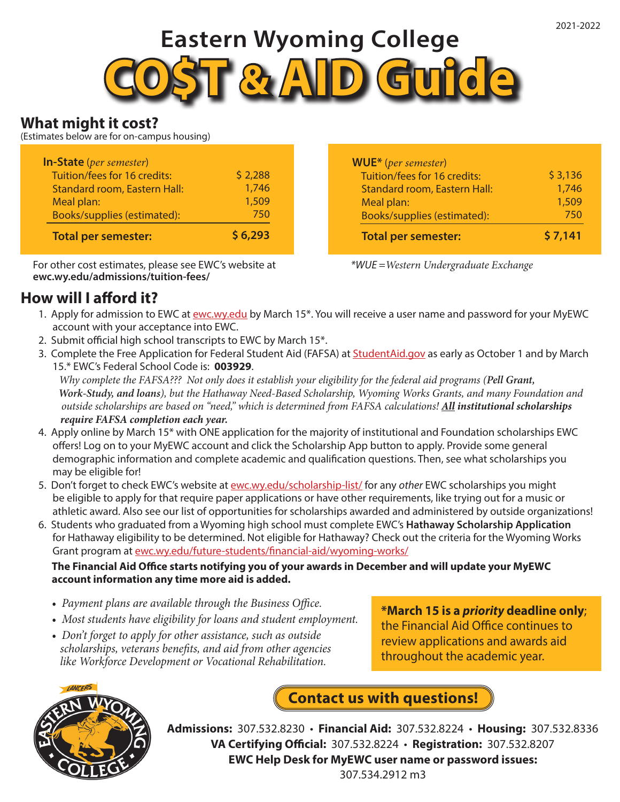# **Eastern Wyoming College**



## **What might it cost?**

(Estimates below are for on-campus housing)

| <b>In-State</b> (per semester)      |         |
|-------------------------------------|---------|
| Tuition/fees for 16 credits:        | \$2,288 |
| <b>Standard room, Eastern Hall:</b> | 1,746   |
| Meal plan:                          | 1,509   |
| Books/supplies (estimated):         | 750     |
| <b>Total per semester:</b>          | \$6,293 |

For other cost estimates, please see EWC's website at **ewc.wy.edu/admissions/tuition-fees/**

## **How will I afford it?**

**WUE\*** (*per semester*) Tuition/fees for 16 credits: Standard room, Eastern Hall: Meal plan: Books/supplies (estimated):  **Total per semester:** \$ 3,136 1,746 1,509 750 **\$ 7,141**

*\*WUE =Western Undergraduate Exchange*

- 1. Apply for admission to EWC at ewc.wy.edu by March 15\*. You will receive a user name and password for your MyEWC account with your acceptance into EWC.
- 2. Submit official high school transcripts to EWC by March 15\*.
- 3. Complete the Free Application for Federal Student Aid (FAFSA) at StudentAid.gov as early as October 1 and by March 15.\* EWC's Federal School Code is: **003929**.

 *Why complete the FAFSA??? Not only does it establish your eligibility for the federal aid programs (Pell Grant, Work-Study, and loans), but the Hathaway Need-Based Scholarship, Wyoming Works Grants, and many Foundation and outside scholarships are based on "need," which is determined from FAFSA calculations! All institutional scholarships require FAFSA completion each year.*

- 4. Apply online by March 15\* with ONE application for the majority of institutional and Foundation scholarships EWC offers! Log on to your MyEWC account and click the Scholarship App button to apply. Provide some general demographic information and complete academic and qualification questions. Then, see what scholarships you may be eligible for!
- 5. Don't forget to check EWC's website at ewc.wy.edu/scholarship-list/ for any *other* EWC scholarships you might be eligible to apply for that require paper applications or have other requirements, like trying out for a music or athletic award. Also see our list of opportunities for scholarships awarded and administered by outside organizations!
- 6. Students who graduated from a Wyoming high school must complete EWC's **Hathaway Scholarship Application** for Hathaway eligibility to be determined. Not eligible for Hathaway? Check out the criteria for the Wyoming Works Grant program at ewc.wy.edu/future-students/financial-aid/wyoming-works/

#### **The Financial Aid Office starts notifying you of your awards in December and will update your MyEWC account information any time more aid is added.**

- *Payment plans are available through the Business Office.*
- *Most students have eligibility for loans and student employment.*
- *Don't forget to apply for other assistance, such as outside scholarships, veterans benefits, and aid from other agencies like Workforce Development or Vocational Rehabilitation.*

**\*March 15 is a** *priority* **deadline only**; the Financial Aid Office continues to review applications and awards aid throughout the academic year.



**Contact us with questions!**

**Admissions:** 307.532.8230 • **Financial Aid:** 307.532.8224 • **Housing:** 307.532.8336 **VA Certifying Official:** 307.532.8224 • **Registration:** 307.532.8207 **EWC Help Desk for MyEWC user name or password issues:**

307.534.2912 m3